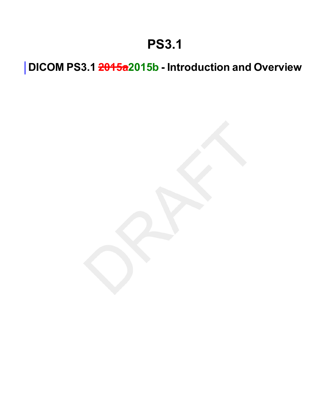## **DICOM PS3.1 2015a2015b - Introduction and Overview**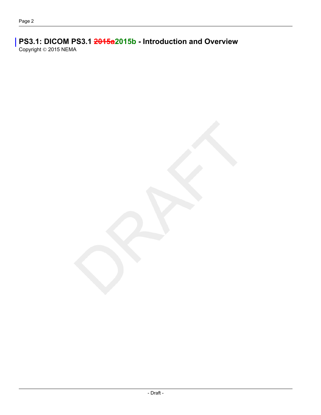**PS3.1: DICOM PS3.1 2015a2015b - Introduction and Overview** Copyright © 2015 NEMA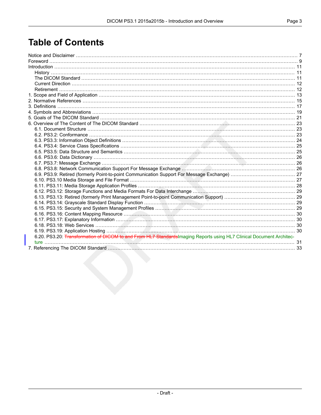## **Table of Contents**

| 6.20. PS3.20: Transformation of DICOM to and From HL7 StandardsImaging Reports using HL7 Clinical Document Architec- |  |
|----------------------------------------------------------------------------------------------------------------------|--|
|                                                                                                                      |  |
|                                                                                                                      |  |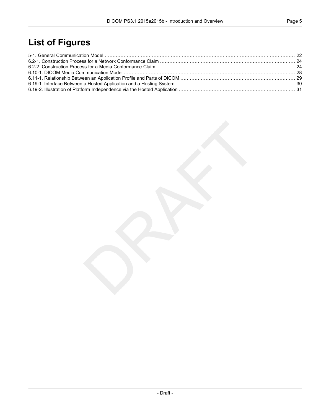## **List of Figures**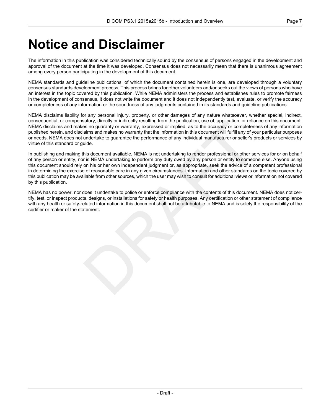## <span id="page-6-0"></span>**Notice and Disclaimer**

The information in this publication was considered technically sound by the consensus of persons engaged in the development and approval of the document at the time it was developed. Consensus does not necessarily mean that there is unanimous agreement among every person participating in the development of this document.

NEMA standards and guideline publications, of which the document contained herein is one, are developed through a voluntary consensus standards development process. This process brings together volunteers and/or seeks out the views of persons who have an interest in the topic covered by this publication. While NEMA administers the process and establishes rules to promote fairness in the development of consensus, it does not write the document and it does not independently test, evaluate, or verify the accuracy or completeness of any information or the soundness of any judgments contained in its standards and guideline publications.

NEMA disclaims liability for any personal injury, property, or other damages of any nature whatsoever, whether special, indirect, consequential, or compensatory, directly or indirectly resulting from the publication, use of, application, or reliance on this document. NEMA disclaims and makes no guaranty or warranty, expressed or implied, as to the accuracy or completeness of any information published herein, and disclaims and makes no warranty that the information in this document will fulfill any of your particular purposes or needs. NEMA does not undertake to guarantee the performance of any individual manufacturer or seller's products or services by virtue of this standard or guide.

In publishing and making this document available, NEMA is not undertaking to render professional or other services for or on behalf of any person or entity, nor is NEMA undertaking to perform any duty owed by any person or entity to someone else. Anyone using this document should rely on his or her own independent judgment or, as appropriate, seek the advice of a competent professional in determining the exercise of reasonable care in any given circumstances. Information and other standards on the topic covered by this publication may be available from other sources, which the user may wish to consult for additional views or information not covered by this publication.

NEMA has no power, nor does it undertake to police or enforce compliance with the contents of this document. NEMA does not certify, test, or inspect products, designs, or installations for safety or health purposes. Any certification or other statement of compliance with any health or safety-related information in this document shall not be attributable to NEMA and is solely the responsibility of the certifier or maker of the statement.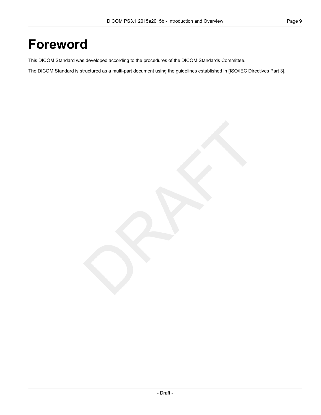## <span id="page-8-0"></span>**Foreword**

This DICOM Standard was developed according to the procedures of the DICOM Standards Committee.

The DICOM Standard is structured as a multi-part document using the guidelines established in [ISO/IEC [Directives](#page-14-1) Part 3].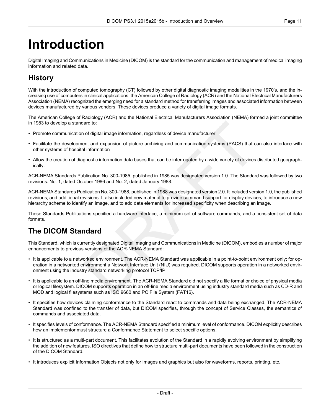# <span id="page-10-0"></span>**Introduction**

<span id="page-10-1"></span>Digital Imaging and Communications in Medicine (DICOM) is the standard for the communication and management of medical imaging information and related data.

## **History**

With the introduction of computed tomography (CT) followed by other digital diagnostic imaging modalities in the 1970's, and the increasing use of computers in clinical applications, the American College of Radiology (ACR) and the National Electrical Manufacturers Association (NEMA) recognized the emerging need for a standard method for transferring images and associated information between devices manufactured by various vendors. These devices produce a variety of digital image formats.

The American College of Radiology (ACR) and the National Electrical Manufacturers Association (NEMA) formed a joint committee in 1983 to develop a standard to:

- Promote communication of digital image information, regardless of device manufacturer
- Facilitate the development and expansion of picture archiving and communication systems (PACS) that can also interface with other systems of hospital information
- Allow the creation of diagnostic information data bases that can be interrogated by a wide variety of devices distributed geographically.

ACR-NEMA Standards Publication No. 300-1985, published in 1985 was designated version 1.0. The Standard was followed by two revisions: No. 1, dated October 1986 and No. 2, dated January 1988.

<span id="page-10-2"></span>ACR-NEMA Standards Publication No. 300-1988, published in 1988 was designated version 2.0. It included version 1.0, the published revisions, and additional revisions. It also included new material to provide command support for display devices, to introduce a new hierarchy scheme to identify an image, and to add data elements for increased specificity when describing an image.

These Standards Publications specified a hardware interface, a minimum set of software commands, and a consistent set of data formats.

## **The DICOM Standard**

This Standard, which is currently designated Digital Imaging and Communications in Medicine (DICOM), embodies a number of major enhancements to previous versions of the ACR-NEMA Standard:

- It is applicable to a networked environment. The ACR-NEMA Standard was applicable in a point-to-point environment only; for operation in a networked environment a Network Interface Unit (NIU) was required. DICOM supports operation in a networked environment using the industry standard networking protocol TCP/IP.
- It is applicable to an off-line media environment. The ACR-NEMA Standard did not specify a file format or choice of physical media or logical filesystem. DICOM supports operation in an off-line media environment using industry standard media such as CD-R and MOD and logical filesystems such as ISO 9660 and PC File System (FAT16).
- It specifies how devices claiming conformance to the Standard react to commands and data being exchanged. The ACR-NEMA Standard was confined to the transfer of data, but DICOM specifies, through the concept of Service Classes, the semantics of commands and associated data.
- It specifies levels of conformance. The ACR-NEMA Standard specified a minimum level of conformance. DICOM explicitly describes how an implementor must structure a Conformance Statement to select specific options.
- It is structured as a multi-part document. This facilitates evolution of the Standard in a rapidly evolving environment by simplifying the addition of new features. ISO directives that define how to structure multi-part documents have been followed in the construction of the DICOM Standard.
- It introduces explicit Information Objects not only for images and graphics but also for waveforms, reports, printing, etc.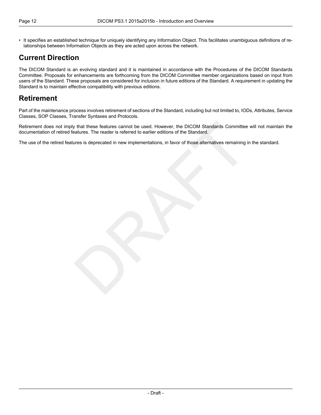• It specifies an established technique for uniquely identifying any Information Object. This facilitates unambiguous definitions of relationships between Information Objects as they are acted upon across the network.

## <span id="page-11-0"></span>**Current Direction**

<span id="page-11-1"></span>The DICOM Standard is an evolving standard and it is maintained in accordance with the Procedures of the DICOM Standards Committee. Proposals for enhancements are forthcoming from the DICOM Committee member organizations based on input from users of the Standard. These proposals are considered for inclusion in future editions of the Standard. A requirement in updating the Standard is to maintain effective compatibility with previous editions.

## **Retirement**

Part of the maintenance process involves retirement of sections of the Standard, including but not limited to, IODs, Attributes, Service Classes, SOP Classes, Transfer Syntaxes and Protocols.

Retirement does not imply that these features cannot be used. However, the DICOM Standards Committee will not maintain the documentation of retired features. The reader is referred to earlier editions of the Standard.

The use of the retired features is deprecated in new implementations, in favor of those alternatives remaining in the standard.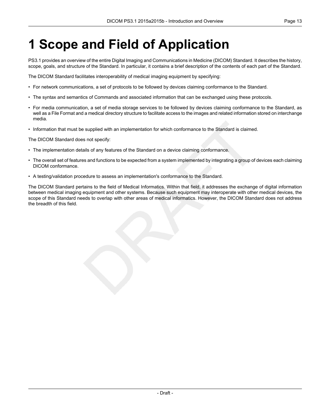# <span id="page-12-0"></span>**1 Scope and Field of Application**

PS3.1 provides an overview of the entire Digital Imaging and Communications in Medicine (DICOM) Standard. It describes the history, scope, goals, and structure of the Standard. In particular, it contains a brief description of the contents of each part of the Standard.

The DICOM Standard facilitates interoperability of medical imaging equipment by specifying:

- For network communications, a set of protocols to be followed by devices claiming conformance to the Standard.
- The syntax and semantics of Commands and associated information that can be exchanged using these protocols.
- For media communication, a set of media storage services to be followed by devices claiming conformance to the Standard, as well as a File Format and a medical directory structure to facilitate access to the images and related information stored on interchange media.
- Information that must be supplied with an implementation for which conformance to the Standard is claimed.

The DICOM Standard does not specify:

- The implementation details of any features of the Standard on a device claiming conformance.
- The overall set of features and functions to be expected from a system implemented by integrating a group of devices each claiming DICOM conformance.
- A testing/validation procedure to assess an implementation's conformance to the Standard.

The DICOM Standard pertains to the field of Medical Informatics. Within that field, it addresses the exchange of digital information between medical imaging equipment and other systems. Because such equipment may interoperate with other medical devices, the scope of this Standard needs to overlap with other areas of medical informatics. However, the DICOM Standard does not address the breadth of this field.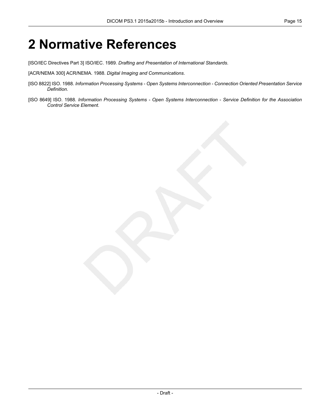## <span id="page-14-0"></span>**2 Normative References**

<span id="page-14-1"></span>[ISO/IEC Directives Part 3] ISO/IEC. 1989. *Drafting and Presentation of International Standards*.

[ACR/NEMA 300] ACR/NEMA. 1988. *Digital Imaging and Communications*.

- [ISO 8822] ISO. 1988. *Information Processing Systems - Open Systems Interconnection - Connection Oriented Presentation Service Definition*.
- [ISO 8649] ISO. 1988. *Information Processing Systems - Open Systems Interconnection - Service Definition for the Association Control Service Element*.

- Draft -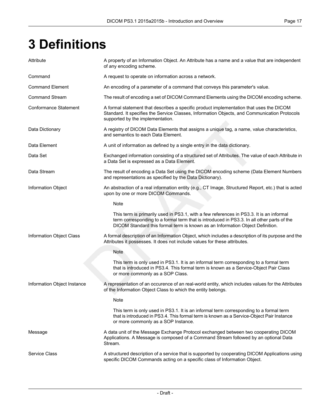## <span id="page-16-0"></span>**3 Definitions**

| Attribute                    | A property of an Information Object. An Attribute has a name and a value that are independent<br>of any encoding scheme.                                                                                                                                               |
|------------------------------|------------------------------------------------------------------------------------------------------------------------------------------------------------------------------------------------------------------------------------------------------------------------|
| Command                      | A request to operate on information across a network.                                                                                                                                                                                                                  |
| <b>Command Element</b>       | An encoding of a parameter of a command that conveys this parameter's value.                                                                                                                                                                                           |
| <b>Command Stream</b>        | The result of encoding a set of DICOM Command Elements using the DICOM encoding scheme.                                                                                                                                                                                |
| <b>Conformance Statement</b> | A formal statement that describes a specific product implementation that uses the DICOM<br>Standard. It specifies the Service Classes, Information Objects, and Communication Protocols<br>supported by the implementation.                                            |
| Data Dictionary              | A registry of DICOM Data Elements that assigns a unique tag, a name, value characteristics,<br>and semantics to each Data Element.                                                                                                                                     |
| Data Element                 | A unit of information as defined by a single entry in the data dictionary.                                                                                                                                                                                             |
| Data Set                     | Exchanged information consisting of a structured set of Attributes. The value of each Attribute in<br>a Data Set is expressed as a Data Element.                                                                                                                       |
| Data Stream                  | The result of encoding a Data Set using the DICOM encoding scheme (Data Element Numbers<br>and representations as specified by the Data Dictionary).                                                                                                                   |
| Information Object           | An abstraction of a real information entity (e.g., CT Image, Structured Report, etc.) that is acted<br>upon by one or more DICOM Commands.                                                                                                                             |
|                              | Note                                                                                                                                                                                                                                                                   |
|                              | This term is primarily used in PS3.1, with a few references in PS3.3. It is an informal<br>term corresponding to a formal term that is introduced in PS3.3. In all other parts of the<br>DICOM Standard this formal term is known as an Information Object Definition. |
| Information Object Class     | A formal description of an Information Object, which includes a description of its purpose and the<br>Attributes it possesses. It does not include values for these attributes.                                                                                        |
|                              | Note                                                                                                                                                                                                                                                                   |
|                              | This term is only used in PS3.1. It is an informal term corresponding to a formal term<br>that is introduced in PS3.4. This formal term is known as a Service-Object Pair Class<br>or more commonly as a SOP Class.                                                    |
| Information Object Instance  | A representation of an occurence of an real-world entity, which includes values for the Attributes<br>of the Information Object Class to which the entity belongs.                                                                                                     |
|                              | Note                                                                                                                                                                                                                                                                   |
|                              | This term is only used in PS3.1. It is an informal term corresponding to a formal term<br>that is introduced in PS3.4. This formal term is known as a Service-Object Pair Instance<br>or more commonly as a SOP Instance.                                              |
| Message                      | A data unit of the Message Exchange Protocol exchanged between two cooperating DICOM<br>Applications. A Message is composed of a Command Stream followed by an optional Data<br>Stream.                                                                                |
| Service Class                | A structured description of a service that is supported by cooperating DICOM Applications using<br>specific DICOM Commands acting on a specific class of Information Object.                                                                                           |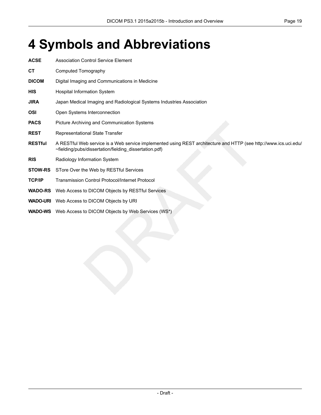# <span id="page-18-0"></span>**4 Symbols and Abbreviations**

| <b>ACSE</b>    | Association Control Service Element                                                                                                                                        |  |
|----------------|----------------------------------------------------------------------------------------------------------------------------------------------------------------------------|--|
| СT             | Computed Tomography                                                                                                                                                        |  |
| <b>DICOM</b>   | Digital Imaging and Communications in Medicine                                                                                                                             |  |
| <b>HIS</b>     | <b>Hospital Information System</b>                                                                                                                                         |  |
| <b>JIRA</b>    | Japan Medical Imaging and Radiological Systems Industries Association                                                                                                      |  |
| <b>OSI</b>     | Open Systems Interconnection                                                                                                                                               |  |
| <b>PACS</b>    | Picture Archiving and Communication Systems                                                                                                                                |  |
| <b>REST</b>    | Representational State Transfer                                                                                                                                            |  |
| <b>RESTful</b> | A RESTful Web service is a Web service implemented using REST architecture and HTTP (see http://www.ics.uci.edu/<br>~fielding/pubs/dissertation/fielding_dissertation.pdf) |  |
| <b>RIS</b>     | Radiology Information System                                                                                                                                               |  |
| <b>STOW-RS</b> | STore Over the Web by RESTful Services                                                                                                                                     |  |
| <b>TCP/IP</b>  | <b>Transmission Control Protocol/Internet Protocol</b>                                                                                                                     |  |
| <b>WADO-RS</b> | Web Access to DICOM Objects by RESTful Services                                                                                                                            |  |
|                | <b>WADO-URI</b> Web Access to DICOM Objects by URI                                                                                                                         |  |
|                | <b>WADO-WS</b> Web Access to DICOM Objects by Web Services (WS*)                                                                                                           |  |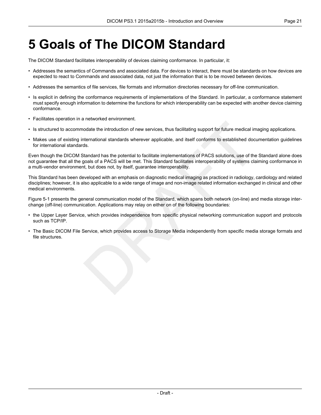# <span id="page-20-0"></span>**5 Goals of The DICOM Standard**

The DICOM Standard facilitates interoperability of devices claiming conformance. In particular, it:

- Addresses the semantics of Commands and associated data. For devices to interact, there must be standards on how devices are expected to react to Commands and associated data, not just the information that is to be moved between devices.
- Addresses the semantics of file services, file formats and information directories necessary for off-line communication.
- Is explicit in defining the conformance requirements of implementations of the Standard. In particular, a conformance statement must specify enough information to determine the functions for which interoperability can be expected with another device claiming conformance.
- Facilitates operation in a networked environment.
- Is structured to accommodate the introduction of new services, thus facilitating support for future medical imaging applications.
- Makes use of existing international standards wherever applicable, and itself conforms to established documentation guidelines for international standards.

Even though the DICOM Standard has the potential to facilitate implementations of PACS solutions, use of the Standard alone does not guarantee that all the goals of a PACS will be met. This Standard facilitates interoperability of systems claiming conformance in a multi-vendor environment, but does not, by itself, guarantee interoperability.

This Standard has been developed with an emphasis on diagnostic medical imaging as practiced in radiology, cardiology and related disciplines; however, it is also applicable to a wide range of image and non-image related information exchanged in clinical and other medical environments.

[Figure](#page-21-0) 5-1 presents the general communication model of the Standard, which spans both network (on-line) and media storage interchange (off-line) communication. Applications may relay on either on of the following boundaries:

- the Upper Layer Service, which provides independence from specific physical networking communication support and protocols such as TCP/IP.
- The Basic DICOM File Service, which provides access to Storage Media independently from specific media storage formats and file structures.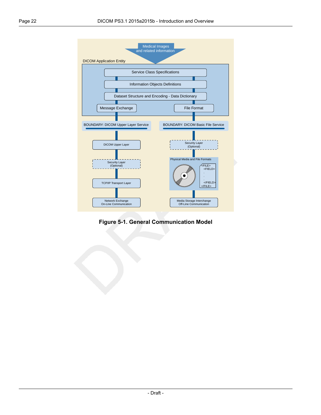<span id="page-21-0"></span>

**Figure 5-1. General Communication Model**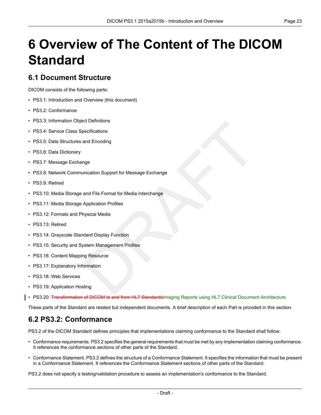## <span id="page-22-0"></span>**6 Overview of The Content of The DICOM Standard**

### <span id="page-22-1"></span>**6.1 Document Structure**

DICOM consists of the following parts:

- PS3.1: Introduction and Overview (this document)
- PS3.2: [Conformance](part02.pdf#PS3.2)
- PS3.3: [Information](part03.pdf#PS3.3) Object Definitions
- PS3.4: Service Class [Specifications](part04.pdf#PS3.4)
- PS3.5: Data [Structures](part05.pdf#PS3.5) and Encoding
- PS3.6: Data [Dictionary](part06.pdf#PS3.6)
- PS3.7: Message [Exchange](part07.pdf#PS3.7)
- PS3.8: Network [Communication](part08.pdf#PS3.8) Support for Message Exchange
- PS3.9: Retired
- PS3.10: Media Storage and File Format for Media [Interchange](part10.pdf#PS3.10)
- PS3.11: Media Storage [Application](part11.pdf#PS3.11) Profiles
- PS3.12: Formats and [Physical](part12.pdf#PS3.12) Media
- PS3.13: Retired
- PS3.14: [Grayscale](part14.pdf#PS3.14) Standard Display Function
- PS3.15: Security and System [Management](part15.pdf#PS3.15) Profiles
- PS3.16: Content Mapping [Resource](part16.pdf#PS3.16)
- PS3.17: [Explanatory](part17.pdf#PS3.17) Information
- PS3.18: Web [Services](part18.pdf#PS3.18)
- <span id="page-22-2"></span>• PS3.19: [Application](part19.pdf#PS3.19) Hosting
- PS3.20: Transformation of DICOM to and from HL7 [StandardsImaging](part20.pdf#PS3.20) Reports using HL7 Clinical Document Architecture

These parts of the Standard are related but independent documents. A brief description of each Part is provided in this section.

## **6.2 PS3.2: Conformance**

[PS3.2](part02.pdf#PS3.2) of the DICOM Standard defines principles that implementations claiming conformance to the Standard shall follow:

- Conformance requirements. [PS3.2](part02.pdf#PS3.2) specifies the general requirements that must be met by any implementation claiming conformance. It references the conformance sections of other parts of the Standard.
- Conformance Statement. [PS3.2](part02.pdf#PS3.2) defines the structure of a Conformance Statement. It specifies the information that must be present in a Conformance Statement. It references the Conformance Statement sections of other parts of the Standard.

[PS3.2](part02.pdf#PS3.2) does not specify a testing/validation procedure to assess an implementation's conformance to the Standard.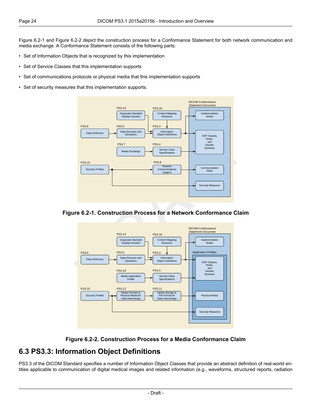[Figure](#page-23-1) 6.2-1 and [Figure](#page-23-2) 6.2-2 depict the construction process for a Conformance Statement for both network communication and media exchange. A Conformance Statement consists of the following parts:

- Set of Information Objects that is recognized by this implementation
- Set of Service Classes that this implementation supports
- Set of communications protocols or physical media that this implementation supports
- <span id="page-23-1"></span>• Set of security measures that this implementation supports.



<span id="page-23-2"></span>**Figure 6.2-1. Construction Process for a Network Conformance Claim**





## <span id="page-23-0"></span>**6.3 PS3.3: Information Object Definitions**

[PS3.3](part03.pdf#PS3.3) of the DICOM Standard specifies a number of Information Object Classes that provide an abstract definition of real-world entities applicable to communication of digital medical images and related information (e.g., waveforms, structured reports, radiation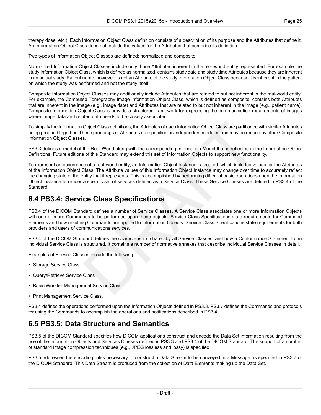therapy dose, etc.). Each Information Object Class definition consists of a description of its purpose and the Attributes that define it. An Information Object Class does not include the values for the Attributes that comprise its definition.

Two types of Information Object Classes are defined: normalized and composite.

Normalized Information Object Classes include only those Attributes inherent in the real-world entity represented. For example the study Information Object Class, which is defined as normalized, contains study date and study time Attributes because they are inherent in an actual study. Patient name, however, is not an Attribute of the study Information Object Class because it is inherent in the patient on which the study was performed and not the study itself.

Composite Information Object Classes may additionally include Attributes that are related to but not inherent in the real-world entity. For example, the Computed Tomography Image Information Object Class, which is defined as composite, contains both Attributes that are inherent in the image (e.g., image date) and Attributes that are related to but not inherent in the image (e.g., patient name). Composite Information Object Classes provide a structured framework for expressing the communication requirements of images where image data and related data needs to be closely associated.

To simplify the Information Object Class definitions, the Attributes of each Information Object Class are partitioned with similar Attributes being grouped together. These groupings of Attributes are specified as independent modules and may be reused by other Composite Information Object Classes.

[PS3.3](part03.pdf#PS3.3) defines a model of the Real World along with the corresponding Information Model that is reflected in the Information Object Definitions. Future editions of this Standard may extend this set of Information Objects to support new functionality.

<span id="page-24-0"></span>To represent an occurrence of a real-world entity, an Information Object Instance is created, which includes values for the Attributes of the Information Object Class. The Attribute values of this Information Object Instance may change over time to accurately reflect the changing state of the entity that it represents. This is accomplished by performing different basic operations upon the Information Object Instance to render a specific set of services defined as a Service Class. These Service Classes are defined in [PS3.4](part04.pdf#PS3.4) of the Standard.

### **6.4 PS3.4: Service Class Specifications**

[PS3.4](part04.pdf#PS3.4) of the DICOM Standard defines a number of Service Classes. A Service Class associates one or more Information Objects with one or more Commands to be performed upon these objects. Service Class Specifications state requirements for Command Elements and how resulting Commands are applied to Information Objects. Service Class Specifications state requirements for both providers and users of communications services.

[PS3.4](part04.pdf#PS3.4) of the DICOM Standard defines the characteristics shared by all Service Classes, and how a Conformance Statement to an individual Service Class is structured. It contains a number of normative annexes that describe individual Service Classes in detail.

Examples of Service Classes include the following:

- Storage Service Class
- Query/Retrieve Service Class
- <span id="page-24-1"></span>• Basic Worklist Management Service Class
- Print Management Service Class.

[PS3.4](part04.pdf#PS3.4) defines the operations performed upon the Information Objects defined in [PS3.3.](part03.pdf#PS3.3) [PS3.7](part07.pdf#PS3.7) defines the Commands and protocols for using the Commands to accomplish the operations and notifications described in [PS3.4](part04.pdf#PS3.4).

## **6.5 PS3.5: Data Structure and Semantics**

[PS3.5](part05.pdf#PS3.5) of the DICOM Standard specifies how DICOM applications construct and encode the Data Set information resulting from the use of the Information Objects and Services Classes defined in [PS3.3](part03.pdf#PS3.3) and [PS3.4](part04.pdf#PS3.4) of the DICOM Standard. The support of a number of standard image compression techniques (e.g., JPEG lossless and lossy) is specified.

[PS3.5](part05.pdf#PS3.5) addresses the encoding rules necessary to construct a Data Stream to be conveyed in a Message as specified in [PS3.7](part07.pdf#PS3.7) of the DICOM Standard. This Data Stream is produced from the collection of Data Elements making up the Data Set.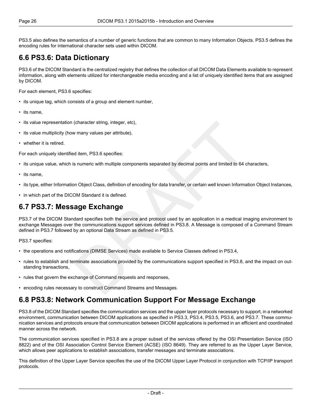<span id="page-25-0"></span>[PS3.5](part05.pdf#PS3.5) also defines the semantics of a number of generic functions that are common to many Information Objects. [PS3.5](part05.pdf#PS3.5) defines the encoding rules for international character sets used within DICOM.

## **6.6 PS3.6: Data Dictionary**

[PS3.6](part06.pdf#PS3.6) of the DICOM Standard is the centralized registry that defines the collection of all DICOM Data Elements available to represent information, along with elements utilized for interchangeable media encoding and a list of uniquely identified items that are assigned by DICOM.

For each element, [PS3.6](part06.pdf#PS3.6) specifies:

- its unique tag, which consists of a group and element number,
- its name,
- its value representation (character string, integer, etc),
- its value multiplicity (how many values per attribute),
- whether it is retired.

For each uniquely identified item, [PS3.6](part06.pdf#PS3.6) specifies:

- its unique value, which is numeric with multiple components separated by decimal points and limited to 64 characters,
- its name,
- <span id="page-25-1"></span>• its type, either Information Object Class, definition of encoding for data transfer, or certain well known Information Object Instances,
- in which part of the DICOM Standard it is defined.

### **6.7 PS3.7: Message Exchange**

[PS3.7](part07.pdf#PS3.7) of the DICOM Standard specifies both the service and protocol used by an application in a medical imaging environment to exchange Messages over the communications support services defined in [PS3.8.](part08.pdf#PS3.8) A Message is composed of a Command Stream defined in [PS3.7](part07.pdf#PS3.7) followed by an optional Data Stream as defined in [PS3.5](part05.pdf#PS3.5).

[PS3.7](part07.pdf#PS3.7) specifies:

- the operations and notifications (DIMSE Services) made available to Service Classes defined in [PS3.4,](part04.pdf#PS3.4)
- <span id="page-25-2"></span>• rules to establish and terminate associations provided by the communications support specified in [PS3.8,](part08.pdf#PS3.8) and the impact on outstanding transactions,
- rules that govern the exchange of Command requests and responses,
- encoding rules necessary to construct Command Streams and Messages.

## **6.8 PS3.8: Network Communication Support For Message Exchange**

[PS3.8](part08.pdf#PS3.8) of the DICOM Standard specifies the communication services and the upper layer protocols necessary to support, in a networked environment, communication between DICOM applications as specified in [PS3.3](part03.pdf#PS3.3), [PS3.4,](part04.pdf#PS3.4) [PS3.5](part05.pdf#PS3.5), [PS3.6,](part06.pdf#PS3.6) and [PS3.7.](part07.pdf#PS3.7) These communication services and protocols ensure that communication between DICOM applications is performed in an efficient and coordinated manner across the network.

The communication services specified in [PS3.8](part08.pdf#PS3.8) are a proper subset of the services offered by the OSI Presentation Service (ISO 8822) and of the OSI Association Control Service Element (ACSE) (ISO 8649). They are referred to as the Upper Layer Service, which allows peer applications to establish associations, transfer messages and terminate associations.

This definition of the Upper Layer Service specifies the use of the DICOM Upper Layer Protocol in conjunction with TCP/IP transport protocols.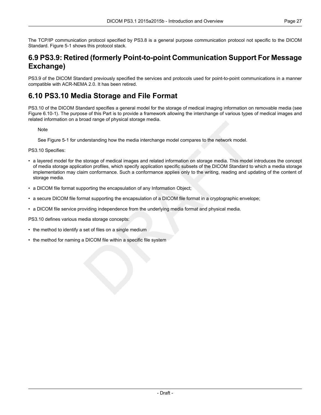<span id="page-26-0"></span>The TCP/IP communication protocol specified by [PS3.8](part08.pdf#PS3.8) is a general purpose communication protocol not specific to the DICOM Standard. [Figure](#page-21-0) 5-1 shows this protocol stack.

### **6.9 PS3.9: Retired (formerly Point-to-point Communication Support For Message Exchange)**

<span id="page-26-1"></span>PS3.9 of the DICOM Standard previously specified the services and protocols used for point-to-point communications in a manner compatible with ACR-NEMA 2.0. It has been retired.

## **6.10 PS3.10 Media Storage and File Format**

[PS3.10](part10.pdf#PS3.10) of the DICOM Standard specifies a general model for the storage of medical imaging information on removable media (see Figure [6.10-1\)](#page-27-1). The purpose of this Part is to provide a framework allowing the interchange of various types of medical images and related information on a broad range of physical storage media.

**Note** 

See [Figure](#page-21-0) 5-1 for understanding how the media interchange model compares to the network model.

[PS3.10](part10.pdf#PS3.10) Specifies:

- a layered model for the storage of medical images and related information on storage media. This model introduces the concept of media storage application profiles, which specify application specific subsets of the DICOM Standard to which a media storage implementation may claim conformance. Such a conformance applies only to the writing, reading and updating of the content of storage media.
- a DICOM file format supporting the encapsulation of any Information Object;
- a secure DICOM file format supporting the encapsulation of a DICOM file format in a cryptographic envelope;
- a DICOM file service providing independence from the underlying media format and physical media.

[PS3.10](part10.pdf#PS3.10) defines various media storage concepts:

- the method to identify a set of files on a single medium
- the method for naming a DICOM file within a specific file system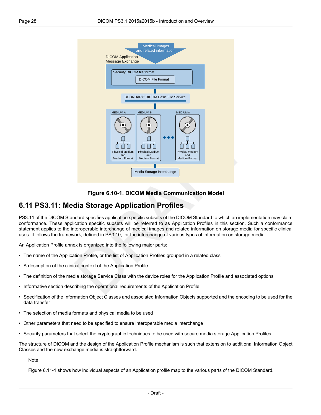<span id="page-27-1"></span>



### <span id="page-27-0"></span>**6.11 PS3.11: Media Storage Application Profiles**

[PS3.11](part11.pdf#PS3.11) of the DICOM Standard specifies application specific subsets of the DICOM Standard to which an implementation may claim conformance. These application specific subsets will be referred to as Application Profiles in this section. Such a conformance statement applies to the interoperable interchange of medical images and related information on storage media for specific clinical uses. It follows the framework, defined in [PS3.10](part10.pdf#PS3.10), for the interchange of various types of information on storage media.

An Application Profile annex is organized into the following major parts:

- The name of the Application Profile, or the list of Application Profiles grouped in a related class
- A description of the clinical context of the Application Profile
- The definition of the media storage Service Class with the device roles for the Application Profile and associated options
- Informative section describing the operational requirements of the Application Profile
- Specification of the Information Object Classes and associated Information Objects supported and the encoding to be used for the data transfer
- The selection of media formats and physical media to be used
- Other parameters that need to be specified to ensure interoperable media interchange
- Security parameters that select the cryptographic techniques to be used with secure media storage Application Profiles

The structure of DICOM and the design of the Application Profile mechanism is such that extension to additional Information Object Classes and the new exchange media is straightforward.

**Note** 

[Figure](#page-28-4) 6.11-1 shows how individual aspects of an Application profile map to the various parts of the DICOM Standard.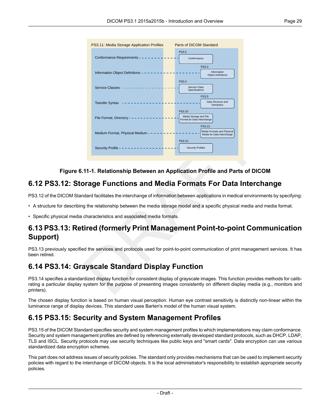<span id="page-28-4"></span>

#### **Figure 6.11-1. Relationship Between an Application Profile and Parts of DICOM**

### <span id="page-28-0"></span>**6.12 PS3.12: Storage Functions and Media Formats For Data Interchange**

[PS3.12](part12.pdf#PS3.12) of the DICOM Standard facilitates the interchange of information between applications in medical environments by specifying:

<span id="page-28-1"></span>• A structure for describing the relationship between the media storage model and a specific physical media and media format.

• Specific physical media characteristics and associated media formats.

### <span id="page-28-2"></span>**6.13 PS3.13: Retired (formerly Print Management Point-to-point Communication Support)**

PS3.13 previously specified the services and protocols used for point-to-point communication of print management services. It has been retired.

### **6.14 PS3.14: Grayscale Standard Display Function**

<span id="page-28-3"></span>[PS3.14](part14.pdf#PS3.14) specifies a standardized display function for consistent display of grayscale images. This function provides methods for calibrating a particular display system for the purpose of presenting images consistently on different display media (e.g., monitors and printers).

The chosen display function is based on human visual perception. Human eye contrast sensitivity is distinctly non-linear within the luminance range of display devices. This standard uses Barten's model of the human visual system.

## **6.15 PS3.15: Security and System Management Profiles**

[PS3.15](part15.pdf#PS3.15) of the DICOM Standard specifies security and system management profiles to which implementations may claim conformance. Security and system management profiles are defined by referencing externally developed standard protocols, such as DHCP, LDAP, TLS and ISCL. Security protocols may use security techniques like public keys and "smart cards". Data encryption can use various standardized data encryption schemes.

This part does not address issues of security policies. The standard only provides mechanisms that can be used to implement security policies with regard to the interchange of DICOM objects. It is the local administrator's responsibility to establish appropriate security policies.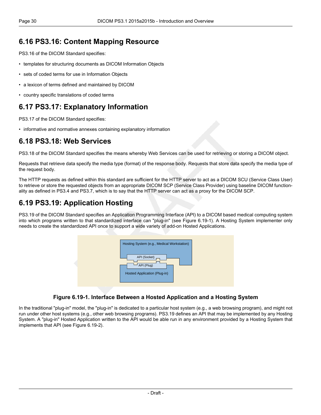## <span id="page-29-0"></span>**6.16 PS3.16: Content Mapping Resource**

[PS3.16](part16.pdf#PS3.16) of the DICOM Standard specifies:

- templates for structuring documents as DICOM Information Objects
- sets of coded terms for use in Information Objects
- a lexicon of terms defined and maintained by DICOM
- <span id="page-29-1"></span>• country specific translations of coded terms

### **6.17 PS3.17: Explanatory Information**

[PS3.17](part17.pdf#PS3.17) of the DICOM Standard specifies:

<span id="page-29-2"></span>• informative and normative annexes containing explanatory information

### **6.18 PS3.18: Web Services**

[PS3.18](part18.pdf#PS3.18) of the DICOM Standard specifies the means whereby Web Services can be used for retrieving or storing a DICOM object.

Requests that retrieve data specify the media type (format) of the response body. Requests that store data specify the media type of the request body.

<span id="page-29-3"></span>The HTTP requests as defined within this standard are sufficient for the HTTP server to act as a DICOM SCU (Service Class User) to retrieve or store the requested objects from an appropriate DICOM SCP (Service Class Provider) using baseline DICOM functionality as defined in [PS3.4](part04.pdf#PS3.4) and [PS3.7,](part07.pdf#PS3.7) which is to say that the HTTP server can act as a proxy for the DICOM SCP.

## **6.19 PS3.19: Application Hosting**

<span id="page-29-4"></span>[PS3.19](part19.pdf#PS3.19) of the DICOM Standard specifies an Application Programming Interface (API) to a DICOM based medical computing system into which programs written to that standardized interface can "plug-in" (see [Figure](#page-29-4) 6.19-1). A Hosting System implementer only needs to create the standardized API once to support a wide variety of add-on Hosted Applications.



#### **Figure 6.19-1. Interface Between a Hosted Application and a Hosting System**

In the traditional "plug-in" model, the "plug-in" is dedicated to a particular host system (e.g., a web browsing program), and might not run under other host systems (e.g., other web browsing programs). [PS3.19](part19.pdf#PS3.19) defines an API that may be implemented by any Hosting System. A "plug-in" Hosted Application written to the API would be able run in any environment provided by a Hosting System that implements that API (see [Figure](#page-30-1) 6.19-2).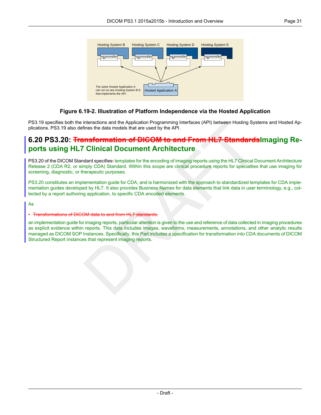<span id="page-30-1"></span>

#### **Figure 6.19-2. Illustration of Platform Independence via the Hosted Application**

<span id="page-30-0"></span>[PS3.19](part19.pdf#PS3.19) specifies both the interactions and the Application Programming Interfaces (API) between Hosting Systems and Hosted Applications. [PS3.19](part19.pdf#PS3.19) also defines the data models that are used by the API.

## **6.20 PS3.20: Transformation of DICOM to and From HL7 StandardsImaging Reports using HL7 Clinical Document Architecture**

[PS3.20](part20.pdf#PS3.20) of the DICOM Standard specifies: templates for the encoding of imaging reports using the HL7 Clinical Document Architecture Release 2 (CDA R2, or simply CDA) Standard. Within this scope are clinical procedure reports for specialties that use imaging for screening, diagnostic, or therapeutic purposes.

[PS3.20](part20.pdf#PS3.20) constitutes an implementation guide for CDA, and is harmonized with the approach to standardized templates for CDA implementation guides developed by HL7. It also provides Business Names for data elements that link data in user terminology, e.g., collected by a report authoring application, to specific CDA encoded elements.

As

#### • Transformations of DICOM data to and from HL7 standards.

an implementation guide for imaging reports, particular attention is given to the use and reference of data collected in imaging procedures as explicit evidence within reports. This data includes images, waveforms, measurements, annotations, and other analytic results managed as DICOM SOP Instances. Specifically, this Part includes a specification for transformation into CDA documents of DICOM Structured Report instances that represent imaging reports.